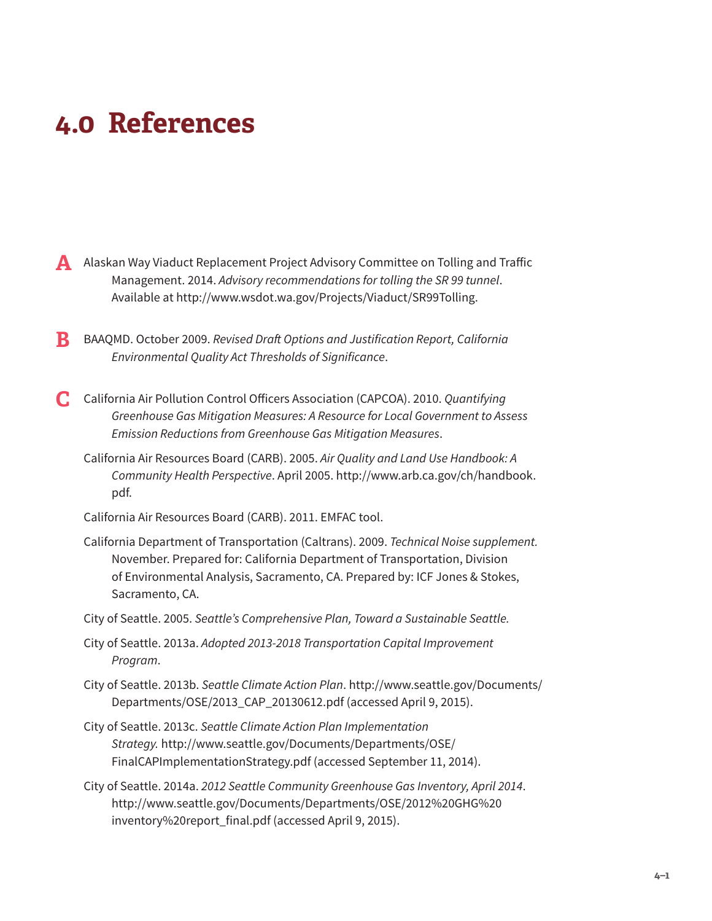## **4.0 References**

- **A** Alaskan Way Viaduct Replacement Project Advisory Committee on Tolling and Traffic Management. 2014. *Advisory recommendations for tolling the SR 99 tunnel*. Available at [http://www.wsdot.wa.gov/Projects/Viaduct/SR99Tolling.](http://www.wsdot.wa.gov/Projects/Viaduct/SR99Tolling)
- **B** BAAQMD. October 2009. *Revised Draft Options and Justification Report, California Environmental Quality Act Thresholds of Significance*.
- **C** California Air Pollution Control Officers Association (CAPCOA). 2010. *Quantifying Greenhouse Gas Mitigation Measures: A Resource for Local Government to Assess Emission Reductions from Greenhouse Gas Mitigation Measures*.
	- California Air Resources Board (CARB). 2005. *Air Quality and Land Use Handbook: A Community Health Perspective*. April 2005. [http://www.arb.ca.gov/ch/handbook.](http://www.arb.ca.gov/ch/handbook.pdf) [pdf.](http://www.arb.ca.gov/ch/handbook.pdf)

California Air Resources Board (CARB). 2011. EMFAC tool.

- California Department of Transportation (Caltrans). 2009. *Technical Noise supplement.* November. Prepared for: California Department of Transportation, Division of Environmental Analysis, Sacramento, CA. Prepared by: ICF Jones & Stokes, Sacramento, CA.
- City of Seattle. 2005. *Seattle's Comprehensive Plan, Toward a Sustainable Seattle.*
- City of Seattle. 2013a. *Adopted 2013-2018 Transportation Capital Improvement Program*.
- City of Seattle. 2013b. *Seattle Climate Action Plan*. [http://www.seattle.gov/Documents/](http://www.seattle.gov/Documents/Departments/OSE/2013_CAP_20130612.pdf) [Departments/OSE/2013\\_CAP\\_20130612.pdf](http://www.seattle.gov/Documents/Departments/OSE/2013_CAP_20130612.pdf) (accessed April 9, 2015).
- City of Seattle. 2013c. *Seattle Climate Action Plan Implementation Strategy.* [http://www.seattle.gov/Documents/Departments/OSE/](http://www.seattle.gov/Documents/Departments/OSE/FinalCAPImplementationStrategy.pdf) [FinalCAPImplementationStrategy.pdf](http://www.seattle.gov/Documents/Departments/OSE/FinalCAPImplementationStrategy.pdf) (accessed September 11, 2014).
- City of Seattle. 2014a. *2012 Seattle Community Greenhouse Gas Inventory, April 2014*. [http://www.seattle.gov/Documents/Departments/OSE/2012%20GHG%20](http://www.seattle.gov/Documents/Departments/OSE/2012%20GHG%20inventory%20report_final.pdf) [inventory%20report\\_final.pdf](http://www.seattle.gov/Documents/Departments/OSE/2012%20GHG%20inventory%20report_final.pdf) (accessed April 9, 2015).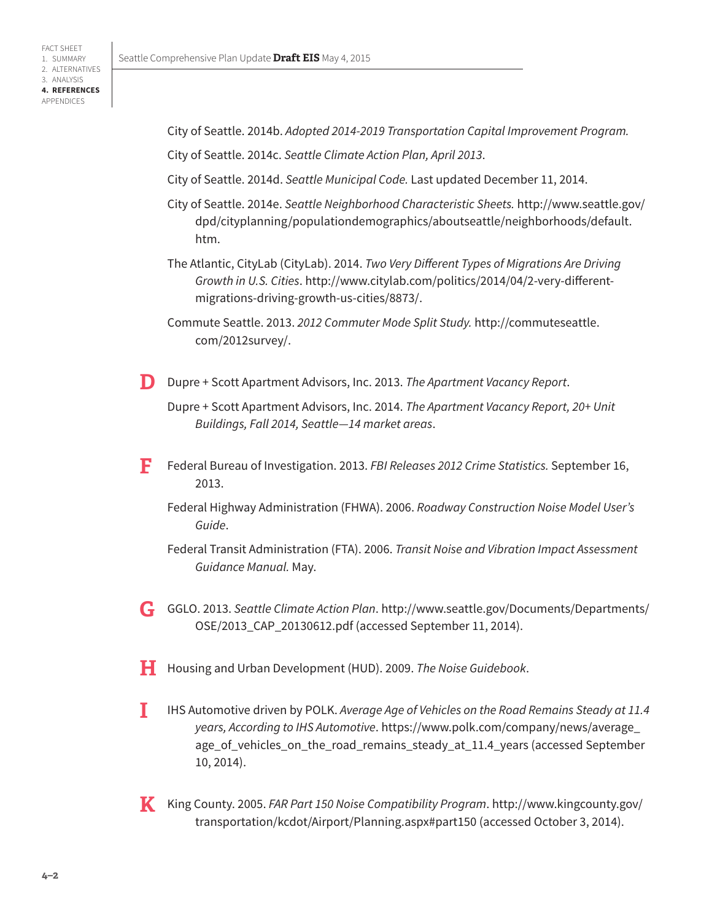City of Seattle. 2014b. *Adopted 2014-2019 Transportation Capital Improvement Program.*

City of Seattle. 2014c. *Seattle Climate Action Plan, April 2013*.

- City of Seattle. 2014d. *Seattle Municipal Code.* Last updated December 11, 2014.
- City of Seattle. 2014e. *Seattle Neighborhood Characteristic Sheets.* [http://www.seattle.gov/](http://www.seattle.gov/dpd/cityplanning/populationdemographics/aboutseattle/neighborhoods/default.htm) [dpd/cityplanning/populationdemographics/aboutseattle/neighborhoods/default.](http://www.seattle.gov/dpd/cityplanning/populationdemographics/aboutseattle/neighborhoods/default.htm) [htm.](http://www.seattle.gov/dpd/cityplanning/populationdemographics/aboutseattle/neighborhoods/default.htm)
- The Atlantic, CityLab (CityLab). 2014. *Two Very Different Types of Migrations Are Driving Growth in U.S. Cities*. [http://www.citylab.com/politics/2014/04/2-very-different](http://www.citylab.com/politics/2014/04/2-very-different-migrations-driving-growth-us-cities/8873/)[migrations-driving-growth-us-cities/8873/.](http://www.citylab.com/politics/2014/04/2-very-different-migrations-driving-growth-us-cities/8873/)

Commute Seattle. 2013. *2012 Commuter Mode Split Study.* http://commuteseattle. com/2012survey/.

**D** Dupre + Scott Apartment Advisors, Inc. 2013. *The Apartment Vacancy Report*.

Dupre + Scott Apartment Advisors, Inc. 2014. *The Apartment Vacancy Report, 20+ Unit Buildings, Fall 2014, Seattle—14 market areas*.

- **F** Federal Bureau of Investigation. 2013. *FBI Releases 2012 Crime Statistics.* September 16, 2013.
	- Federal Highway Administration (FHWA). 2006. *Roadway Construction Noise Model User's Guide*.

Federal Transit Administration (FTA). 2006. *Transit Noise and Vibration Impact Assessment Guidance Manual.* May.

- **G** GGLO. 2013. *Seattle Climate Action Plan*. [http://www.seattle.gov/Documents/Departments/](http://www.seattle.gov/Documents/Departments/OSE/2013_CAP_20130612.pdf) [OSE/2013\\_CAP\\_20130612.pdf](http://www.seattle.gov/Documents/Departments/OSE/2013_CAP_20130612.pdf) (accessed September 11, 2014).
- **H** Housing and Urban Development (HUD). 2009. *The Noise Guidebook*.
- **I** IHS Automotive driven by POLK. *Average Age of Vehicles on the Road Remains Steady at 11.4 years, According to IHS Automotive*. [https://www.polk.com/company/news/average\\_](https://www.polk.com/company/news/average_age_of_vehicles_on_the_road_remains_steady_at_11.4_years) [age\\_of\\_vehicles\\_on\\_the\\_road\\_remains\\_steady\\_at\\_11.4\\_years](https://www.polk.com/company/news/average_age_of_vehicles_on_the_road_remains_steady_at_11.4_years) (accessed September 10, 2014).
- **K** King County. 2005. *FAR Part 150 Noise Compatibility Program*. [http://www.kingcounty.gov/](http://www.kingcounty.gov/transportation/kcdot/Airport/Planning.aspx#part150) [transportation/kcdot/Airport/Planning.aspx#part150](http://www.kingcounty.gov/transportation/kcdot/Airport/Planning.aspx#part150) (accessed October 3, 2014).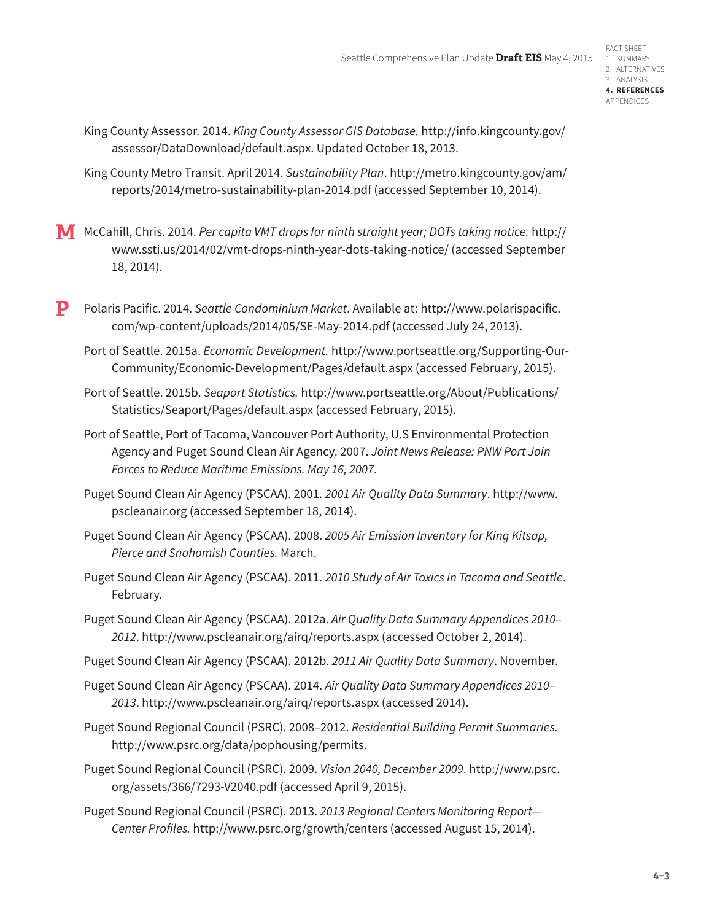King County Assessor. 2014. *King County Assessor GIS Database.* [http://info.kingcounty.gov/](http://info.kingcounty.gov/assessor/DataDownload/default.aspx) [assessor/DataDownload/default.aspx](http://info.kingcounty.gov/assessor/DataDownload/default.aspx). Updated October 18, 2013.

King County Metro Transit. April 2014. *Sustainability Plan*. [http://metro.kingcounty.gov/am/](http://metro.kingcounty.gov/am/reports/2014/metro-sustainability-plan-2014.pdf) [reports/2014/metro-sustainability-plan-2014.pdf](http://metro.kingcounty.gov/am/reports/2014/metro-sustainability-plan-2014.pdf) (accessed September 10, 2014).

**M** McCahill, Chris. 2014. *Per capita VMT drops for ninth straight year; DOTs taking notice.* [http://](http://www.ssti.us/2014/02/vmt-drops-ninth-year-dots-taking-notice/) [www.ssti.us/2014/02/vmt-drops-ninth-year-dots-taking-notice/](http://www.ssti.us/2014/02/vmt-drops-ninth-year-dots-taking-notice/) (accessed September 18, 2014).

**P** Polaris Pacific. 2014. *Seattle Condominium Market*. Available at: [http://www.polarispacific.](http://www.polarispacific.com/wp-content/uploads/2014/05/SE-May-2014.pdf) [com/wp-content/uploads/2014/05/SE-May-2014.pdf](http://www.polarispacific.com/wp-content/uploads/2014/05/SE-May-2014.pdf) (accessed July 24, 2013).

Port of Seattle. 2015a. *Economic Development.* [http://www.portseattle.org/Supporting-Our-](http://www.portseattle.org/Supporting-Our-Community/Economic-Development/Pages/default.aspx)[Community/Economic-Development/Pages/default.aspx](http://www.portseattle.org/Supporting-Our-Community/Economic-Development/Pages/default.aspx) (accessed February, 2015).

Port of Seattle. 2015b. *Seaport Statistics.* [http://www.portseattle.org/About/Publications/](http://www.portseattle.org/About/Publications/Statistics/Seaport/Pages/default.aspx) [Statistics/Seaport/Pages/default.aspx](http://www.portseattle.org/About/Publications/Statistics/Seaport/Pages/default.aspx) (accessed February, 2015).

Port of Seattle, Port of Tacoma, Vancouver Port Authority, U.S Environmental Protection Agency and Puget Sound Clean Air Agency. 2007. *Joint News Release: PNW Port Join Forces to Reduce Maritime Emissions. May 16, 2007*.

Puget Sound Clean Air Agency (PSCAA). 2001. *2001 Air Quality Data Summary*. [http://www.](http://www.pscleanair.org) [pscleanair.org](http://www.pscleanair.org) (accessed September 18, 2014).

Puget Sound Clean Air Agency (PSCAA). 2008. *2005 Air Emission Inventory for King Kitsap, Pierce and Snohomish Counties.* March.

Puget Sound Clean Air Agency (PSCAA). 2011. *2010 Study of Air Toxics in Tacoma and Seattle*. February.

Puget Sound Clean Air Agency (PSCAA). 2012a. *Air Quality Data Summary Appendices 2010– 2012*.<http://www.pscleanair.org/airq/reports.aspx> (accessed October 2, 2014).

Puget Sound Clean Air Agency (PSCAA). 2012b. *2011 Air Quality Data Summary*. November.

Puget Sound Clean Air Agency (PSCAA). 2014. *Air Quality Data Summary Appendices 2010– 2013*.<http://www.pscleanair.org/airq/reports.aspx> (accessed 2014).

Puget Sound Regional Council (PSRC). 2008–2012. *Residential Building Permit Summaries.* [http://www.psrc.org/data/pophousing/permits.](http://www.psrc.org/data/pophousing/permits)

Puget Sound Regional Council (PSRC). 2009. *Vision 2040, December 2009*. [http://www.psrc.](http://www.psrc.org/assets/366/7293-V2040.pdf) [org/assets/366/7293-V2040.pdf](http://www.psrc.org/assets/366/7293-V2040.pdf) (accessed April 9, 2015).

Puget Sound Regional Council (PSRC). 2013. *2013 Regional Centers Monitoring Report— Center Profiles.* <http://www.psrc.org/growth/centers> (accessed August 15, 2014).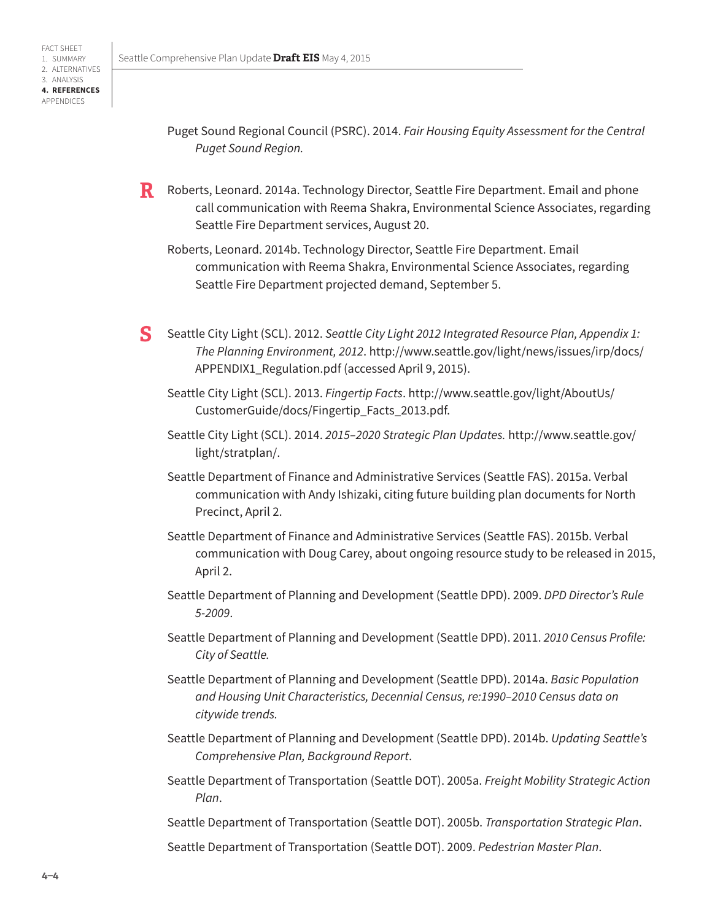- Puget Sound Regional Council (PSRC). 2014. *Fair Housing Equity Assessment for the Central Puget Sound Region.*
- **R** Roberts, Leonard. 2014a. Technology Director, Seattle Fire Department. Email and phone call communication with Reema Shakra, Environmental Science Associates, regarding Seattle Fire Department services, August 20.
	- Roberts, Leonard. 2014b. Technology Director, Seattle Fire Department. Email communication with Reema Shakra, Environmental Science Associates, regarding Seattle Fire Department projected demand, September 5.
- **S** Seattle City Light (SCL). 2012. *Seattle City Light 2012 Integrated Resource Plan, Appendix 1: The Planning Environment, 2012*. [http://www.seattle.gov/light/news/issues/irp/docs/](http://www.seattle.gov/light/news/issues/irp/docs/APPENDIX1_Regulation.pdf) [APPENDIX1\\_Regulation.pdf](http://www.seattle.gov/light/news/issues/irp/docs/APPENDIX1_Regulation.pdf) (accessed April 9, 2015).
	- Seattle City Light (SCL). 2013. *Fingertip Facts*. http://www.seattle.gov/light/AboutUs/ CustomerGuide/docs/Fingertip\_Facts\_2013.pdf.
	- Seattle City Light (SCL). 2014. *2015–2020 Strategic Plan Updates.* http://www.seattle.gov/ light/stratplan/.
	- Seattle Department of Finance and Administrative Services (Seattle FAS). 2015a. Verbal communication with Andy Ishizaki, citing future building plan documents for North Precinct, April 2.
	- Seattle Department of Finance and Administrative Services (Seattle FAS). 2015b. Verbal communication with Doug Carey, about ongoing resource study to be released in 2015, April 2.
	- Seattle Department of Planning and Development (Seattle DPD). 2009. *DPD Director's Rule 5-2009*.
	- Seattle Department of Planning and Development (Seattle DPD). 2011. *2010 Census Profile: City of Seattle.*
	- Seattle Department of Planning and Development (Seattle DPD). 2014a. *Basic Population and Housing Unit Characteristics, Decennial Census, re:1990–2010 Census data on citywide trends.*
	- Seattle Department of Planning and Development (Seattle DPD). 2014b. *Updating Seattle's Comprehensive Plan, Background Report*.
	- Seattle Department of Transportation (Seattle DOT). 2005a. *Freight Mobility Strategic Action Plan*.

Seattle Department of Transportation (Seattle DOT). 2005b. *Transportation Strategic Plan*.

Seattle Department of Transportation (Seattle DOT). 2009. *Pedestrian Master Plan*.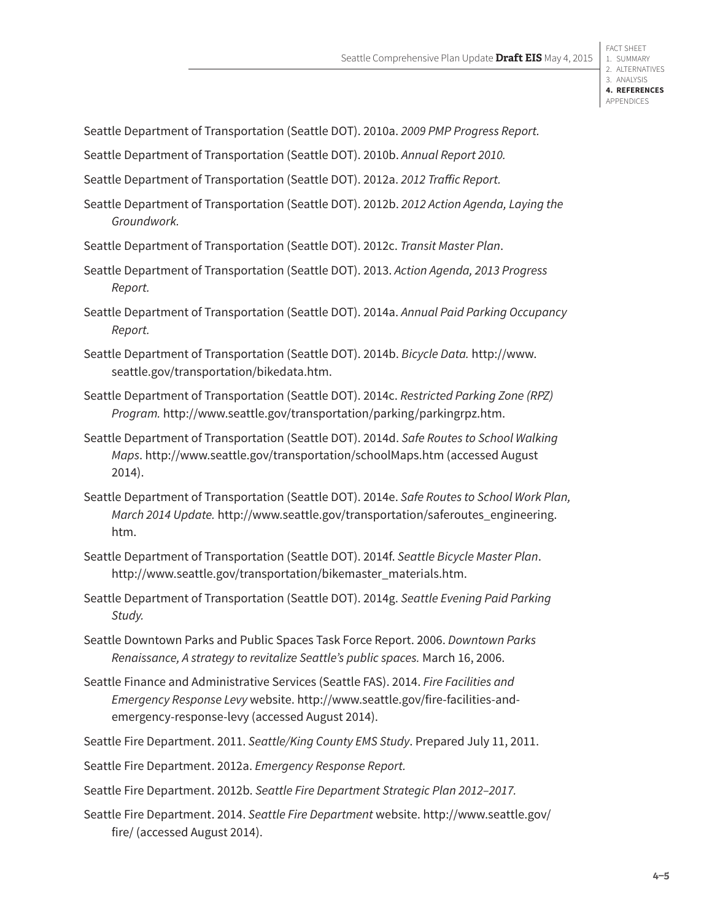Seattle Department of Transportation (Seattle DOT). 2010a. *2009 PMP Progress Report.*

Seattle Department of Transportation (Seattle DOT). 2010b. *Annual Report 2010.*

Seattle Department of Transportation (Seattle DOT). 2012a. *2012 Traffic Report.*

Seattle Department of Transportation (Seattle DOT). 2012b. *2012 Action Agenda, Laying the Groundwork.*

- Seattle Department of Transportation (Seattle DOT). 2012c. *Transit Master Plan*.
- Seattle Department of Transportation (Seattle DOT). 2013. *Action Agenda, 2013 Progress Report.*
- Seattle Department of Transportation (Seattle DOT). 2014a. *Annual Paid Parking Occupancy Report.*
- Seattle Department of Transportation (Seattle DOT). 2014b. *Bicycle Data.* http://www. seattle.gov/transportation/bikedata.htm.
- Seattle Department of Transportation (Seattle DOT). 2014c. *Restricted Parking Zone (RPZ) Program.* http://www.seattle.gov/transportation/parking/parkingrpz.htm.
- Seattle Department of Transportation (Seattle DOT). 2014d. *Safe Routes to School Walking Maps*. <http://www.seattle.gov/transportation/schoolMaps.htm> (accessed August 2014).
- Seattle Department of Transportation (Seattle DOT). 2014e. *Safe Routes to School Work Plan, March 2014 Update.* [http://www.seattle.gov/transportation/saferoutes\\_engineering.](http://www.seattle.gov/transportation/saferoutes_engineering.htm) [htm.](http://www.seattle.gov/transportation/saferoutes_engineering.htm)
- Seattle Department of Transportation (Seattle DOT). 2014f. *Seattle Bicycle Master Plan*. http://www.seattle.gov/transportation/bikemaster\_materials.htm.
- Seattle Department of Transportation (Seattle DOT). 2014g. *Seattle Evening Paid Parking Study.*
- Seattle Downtown Parks and Public Spaces Task Force Report. 2006. *Downtown Parks Renaissance, A strategy to revitalize Seattle's public spaces.* March 16, 2006.
- Seattle Finance and Administrative Services (Seattle FAS). 2014. *Fire Facilities and Emergency Response Levy* website. [http://www.seattle.gov/fire-facilities-and](http://www.seattle.gov/fire-facilities-and-emergency-response-levy)[emergency-response-levy](http://www.seattle.gov/fire-facilities-and-emergency-response-levy) (accessed August 2014).
- Seattle Fire Department. 2011. *Seattle/King County EMS Study*. Prepared July 11, 2011.
- Seattle Fire Department. 2012a. *Emergency Response Report.*
- Seattle Fire Department. 2012b. *Seattle Fire Department Strategic Plan 2012–2017.*
- Seattle Fire Department. 2014. *Seattle Fire Department* website. [http://www.seattle.gov/](http://www.seattle.gov/fire/) [fire/](http://www.seattle.gov/fire/) (accessed August 2014).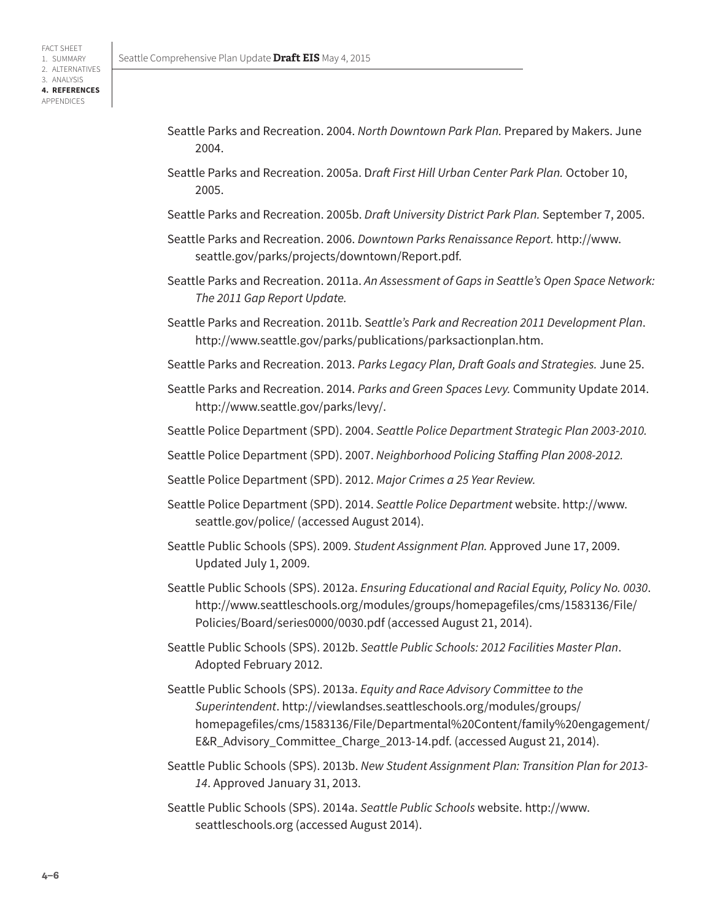- Seattle Parks and Recreation. 2004. *North Downtown Park Plan.* Prepared by Makers. June 2004.
- Seattle Parks and Recreation. 2005a. D*raft First Hill Urban Center Park Plan.* October 10, 2005.
- Seattle Parks and Recreation. 2005b. *Draft University District Park Plan.* September 7, 2005.
- Seattle Parks and Recreation. 2006. *Downtown Parks Renaissance Report.* [http://www.](http://www.seattle.gov/parks/projects/downtown/Report.pdf) [seattle.gov/parks/projects/downtown/Report.pdf](http://www.seattle.gov/parks/projects/downtown/Report.pdf).
- Seattle Parks and Recreation. 2011a. *An Assessment of Gaps in Seattle's Open Space Network: The 2011 Gap Report Update.*
- Seattle Parks and Recreation. 2011b. S*eattle's Park and Recreation 2011 Development Plan*. <http://www.seattle.gov/parks/publications/parksactionplan.htm>.
- Seattle Parks and Recreation. 2013. *Parks Legacy Plan, Draft Goals and Strategies.* June 25.
- Seattle Parks and Recreation. 2014. *Parks and Green Spaces Levy.* Community Update 2014. [http://www.seattle.gov/parks/levy/.](http://www.seattle.gov/parks/levy/)
- Seattle Police Department (SPD). 2004. *Seattle Police Department Strategic Plan 2003-2010.*
- Seattle Police Department (SPD). 2007. *Neighborhood Policing Staffing Plan 2008-2012.*
- Seattle Police Department (SPD). 2012. *Major Crimes a 25 Year Review.*
- Seattle Police Department (SPD). 2014. *Seattle Police Department* website. [http://www.](http://www.seattle.gov/police/) [seattle.gov/police/](http://www.seattle.gov/police/) (accessed August 2014).
- Seattle Public Schools (SPS). 2009. *Student Assignment Plan.* Approved June 17, 2009. Updated July 1, 2009.
- Seattle Public Schools (SPS). 2012a. *Ensuring Educational and Racial Equity, Policy No. 0030*. [http://www.seattleschools.org/modules/groups/homepagefiles/cms/1583136/File/](http://www.seattleschools.org/modules/groups/homepagefiles/cms/1583136/File/Policies/Board/series0000/0030.pdf) [Policies/Board/series0000/0030.pdf](http://www.seattleschools.org/modules/groups/homepagefiles/cms/1583136/File/Policies/Board/series0000/0030.pdf) (accessed August 21, 2014).
- Seattle Public Schools (SPS). 2012b. *Seattle Public Schools: 2012 Facilities Master Plan*. Adopted February 2012.
- Seattle Public Schools (SPS). 2013a. *Equity and Race Advisory Committee to the Superintendent*. [http://viewlandses.seattleschools.org/modules/groups/](http://viewlandses.seattleschools.org/modules/groups/homepagefiles/cms/1583136/File/Departmental%20Content/family%20engagement/E&R_Advisory_Committee_Charge_2013-14.pdf) [homepagefiles/cms/1583136/File/Departmental%20Content/family%20engagement/](http://viewlandses.seattleschools.org/modules/groups/homepagefiles/cms/1583136/File/Departmental%20Content/family%20engagement/E&R_Advisory_Committee_Charge_2013-14.pdf) [E&R\\_Advisory\\_Committee\\_Charge\\_2013-14.pdf.](http://viewlandses.seattleschools.org/modules/groups/homepagefiles/cms/1583136/File/Departmental%20Content/family%20engagement/E&R_Advisory_Committee_Charge_2013-14.pdf) (accessed August 21, 2014).
- Seattle Public Schools (SPS). 2013b. *New Student Assignment Plan: Transition Plan for 2013- 14*. Approved January 31, 2013.
- Seattle Public Schools (SPS). 2014a. *Seattle Public Schools* website. [http://www.](http://www.seattleschools.org) [seattleschools.org](http://www.seattleschools.org) (accessed August 2014).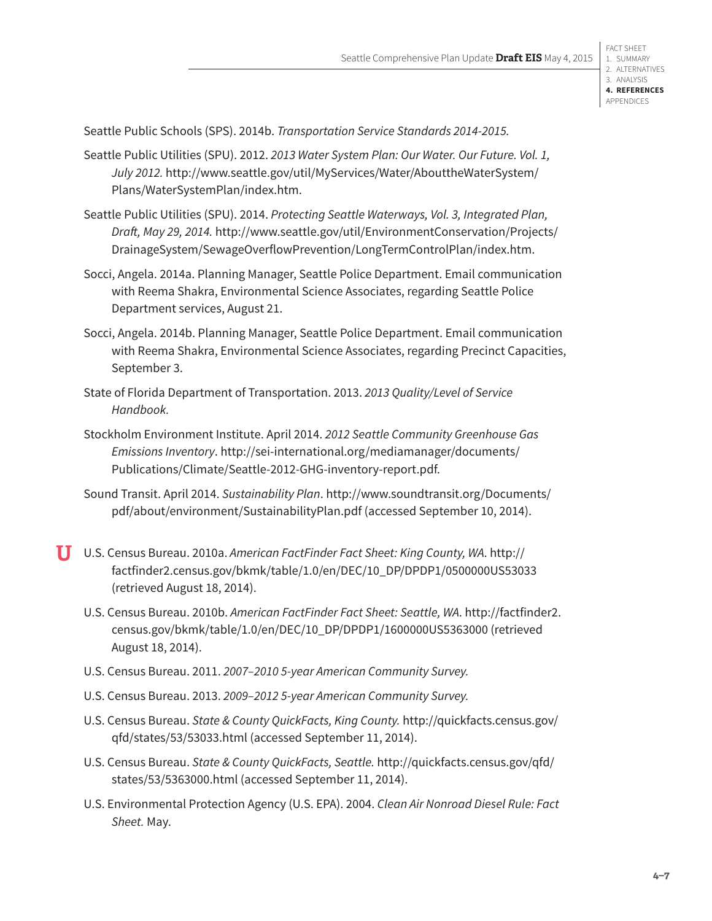Seattle Public Schools (SPS). 2014b. *Transportation Service Standards 2014-2015.*

- Seattle Public Utilities (SPU). 2012. *2013 Water System Plan: Our Water. Our Future. Vol. 1, July 2012.* [http://www.seattle.gov/util/MyServices/Water/AbouttheWaterSystem/](http://www.seattle.gov/util/MyServices/Water/AbouttheWaterSystem/Plans/WaterSystemPlan/index.htm) [Plans/WaterSystemPlan/index.htm](http://www.seattle.gov/util/MyServices/Water/AbouttheWaterSystem/Plans/WaterSystemPlan/index.htm).
- Seattle Public Utilities (SPU). 2014. *Protecting Seattle Waterways, Vol. 3, Integrated Plan, Draft, May 29, 2014.* [http://www.seattle.gov/util/EnvironmentConservation/Projects/](http://www.seattle.gov/util/EnvironmentConservation/Projects/DrainageSystem/SewageOverflowPrevention) [DrainageSystem/SewageOverflowPrevention/LongTermControlPlan/index.htm](http://www.seattle.gov/util/EnvironmentConservation/Projects/DrainageSystem/SewageOverflowPrevention).
- Socci, Angela. 2014a. Planning Manager, Seattle Police Department. Email communication with Reema Shakra, Environmental Science Associates, regarding Seattle Police Department services, August 21.
- Socci, Angela. 2014b. Planning Manager, Seattle Police Department. Email communication with Reema Shakra, Environmental Science Associates, regarding Precinct Capacities, September 3.
- State of Florida Department of Transportation. 2013. *2013 Quality/Level of Service Handbook.*
- Stockholm Environment Institute. April 2014. *2012 Seattle Community Greenhouse Gas Emissions Inventory*. [http://sei-international.org/mediamanager/documents/](http://sei-international.org/mediamanager/documents/Publications/Climate/Seattle-2012-GHG-inventory-report.pdf) [Publications/Climate/Seattle-2012-GHG-inventory-report.pdf.](http://sei-international.org/mediamanager/documents/Publications/Climate/Seattle-2012-GHG-inventory-report.pdf)
- Sound Transit. April 2014. *Sustainability Plan*. [http://www.soundtransit.org/Documents/](http://www.soundtransit.org/Documents/pdf/about/environment/SustainabilityPlan.pdf) [pdf/about/environment/SustainabilityPlan.pdf](http://www.soundtransit.org/Documents/pdf/about/environment/SustainabilityPlan.pdf) (accessed September 10, 2014).
- **U** U.S. Census Bureau. 2010a. *American FactFinder Fact Sheet: King County, WA*. [http://](http://factfinder2.census.gov/bkmk/table/1.0/en/DEC/10_DP/DPDP1/0500000US53033) [factfinder2.census.gov/bkmk/table/1.0/en/DEC/10\\_DP/DPDP1/0500000US5303](http://factfinder2.census.gov/bkmk/table/1.0/en/DEC/10_DP/DPDP1/0500000US53033)3 (retrieved August 18, 2014).
	- U.S. Census Bureau. 2010b. *American FactFinder Fact Sheet: Seattle, WA*. [http://factfinder2.](http://factfinder2.census.gov/bkmk/table/1.0/en/DEC/10_DP/DPDP1/1600000US5363000) [census.gov/bkmk/table/1.0/en/DEC/10\\_DP/DPDP1/1600000US5363000](http://factfinder2.census.gov/bkmk/table/1.0/en/DEC/10_DP/DPDP1/1600000US5363000) (retrieved August 18, 2014).
	- U.S. Census Bureau. 2011. *2007–2010 5-year American Community Survey.*
	- U.S. Census Bureau. 2013. *2009–2012 5-year American Community Survey.*
	- U.S. Census Bureau. *State & County QuickFacts, King County.* [http://quickfacts.census.gov/](http://quickfacts.census.gov/qfd/states/53/53033.html) [qfd/states/53/53033.html](http://quickfacts.census.gov/qfd/states/53/53033.html) (accessed September 11, 2014).
	- U.S. Census Bureau. *State & County QuickFacts, Seattle.* [http://quickfacts.census.gov/qfd/](http://quickfacts.census.gov/qfd/states/53/5363000.html) [states/53/5363000.html](http://quickfacts.census.gov/qfd/states/53/5363000.html) (accessed September 11, 2014).
	- U.S. Environmental Protection Agency (U.S. EPA). 2004. *Clean Air Nonroad Diesel Rule: Fact Sheet.* May.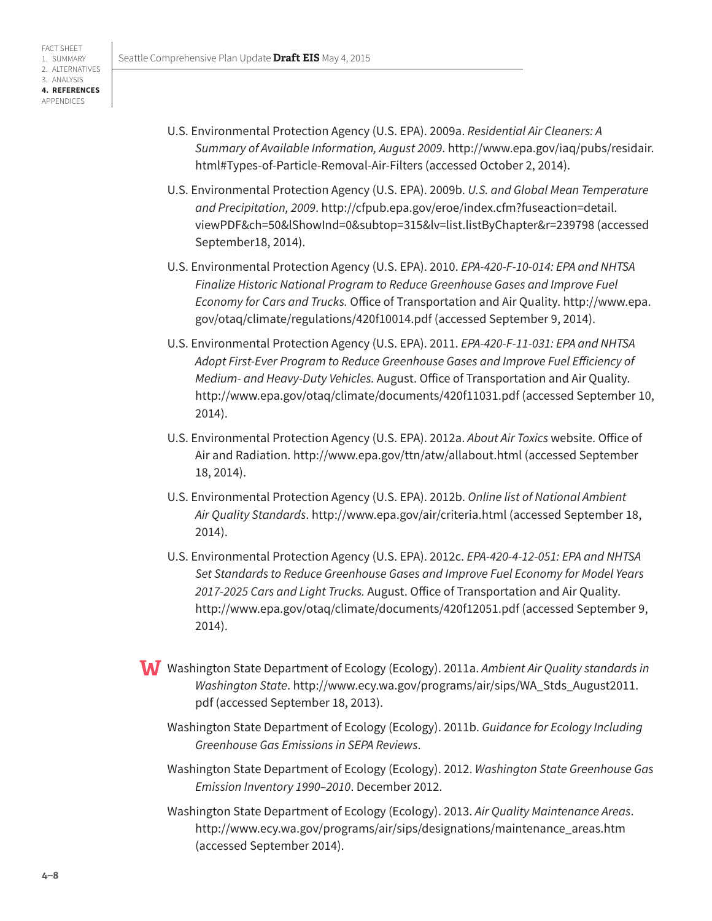- U.S. Environmental Protection Agency (U.S. EPA). 2009a. *Residential Air Cleaners: A Summary of Available Information, August 2009*. [http://www.epa.gov/iaq/pubs/residair.](http://www.epa.gov/iaq/pubs/residair.html#Types-of-Particle-Removal-Air-Filters) [html#Types-of-Particle-Removal-Air-Filters](http://www.epa.gov/iaq/pubs/residair.html#Types-of-Particle-Removal-Air-Filters) (accessed October 2, 2014).
- U.S. Environmental Protection Agency (U.S. EPA). 2009b. *U.S. and Global Mean Temperature and Precipitation, 2009*. [http://cfpub.epa.gov/eroe/index.cfm?fuseaction=detail.](http://cfpub.epa.gov/eroe/index.cfm?fuseaction=detail.viewPDF&ch=50&lShowInd=0&subtop=315&lv=list.li) [viewPDF&ch=50&lShowInd=0&subtop=315&lv=list.listByChapter&r=239798](http://cfpub.epa.gov/eroe/index.cfm?fuseaction=detail.viewPDF&ch=50&lShowInd=0&subtop=315&lv=list.li) (accessed September18, 2014).
- U.S. Environmental Protection Agency (U.S. EPA). 2010. *EPA-420-F-10-014: EPA and NHTSA Finalize Historic National Program to Reduce Greenhouse Gases and Improve Fuel Economy for Cars and Trucks.* Office of Transportation and Air Quality. [http://www.epa.](http://www.epa.gov/otaq/climate/regulations/420f10014.pdf) [gov/otaq/climate/regulations/420f10014.pdf](http://www.epa.gov/otaq/climate/regulations/420f10014.pdf) (accessed September 9, 2014).
- U.S. Environmental Protection Agency (U.S. EPA). 2011. *EPA-420-F-11-031: EPA and NHTSA Adopt First-Ever Program to Reduce Greenhouse Gases and Improve Fuel Efficiency of Medium- and Heavy-Duty Vehicles.* August. Office of Transportation and Air Quality. <http://www.epa.gov/otaq/climate/documents/420f11031.pdf>(accessed September 10, 2014).
- U.S. Environmental Protection Agency (U.S. EPA). 2012a. *About Air Toxics* website. Office of Air and Radiation.<http://www.epa.gov/ttn/atw/allabout.html> (accessed September 18, 2014).
- U.S. Environmental Protection Agency (U.S. EPA). 2012b. *Online list of National Ambient Air Quality Standards*.<http://www.epa.gov/air/criteria.html>(accessed September 18, 2014).
- U.S. Environmental Protection Agency (U.S. EPA). 2012c. *EPA-420-4-12-051: EPA and NHTSA Set Standards to Reduce Greenhouse Gases and Improve Fuel Economy for Model Years 2017-2025 Cars and Light Trucks.* August. Office of Transportation and Air Quality. <http://www.epa.gov/otaq/climate/documents/420f12051.pdf>(accessed September 9, 2014).
- **W** Washington State Department of Ecology (Ecology). 2011a. *Ambient Air Quality standards in Washington State*. [http://www.ecy.wa.gov/programs/air/sips/WA\\_Stds\\_August2011.](http://www.ecy.wa.gov/programs/air/sips/WA_Stds_August2011.pdf) [pdf](http://www.ecy.wa.gov/programs/air/sips/WA_Stds_August2011.pdf) (accessed September 18, 2013).
	- Washington State Department of Ecology (Ecology). 2011b. *Guidance for Ecology Including Greenhouse Gas Emissions in SEPA Reviews*.
	- Washington State Department of Ecology (Ecology). 2012. *Washington State Greenhouse Gas Emission Inventory 1990–2010*. December 2012.
	- Washington State Department of Ecology (Ecology). 2013. *Air Quality Maintenance Areas*. [http://www.ecy.wa.gov/programs/air/sips/designations/maintenance\\_areas.htm](http://www.ecy.wa.gov/programs/air/sips/designations/maintenance_areas.htm) (accessed September 2014).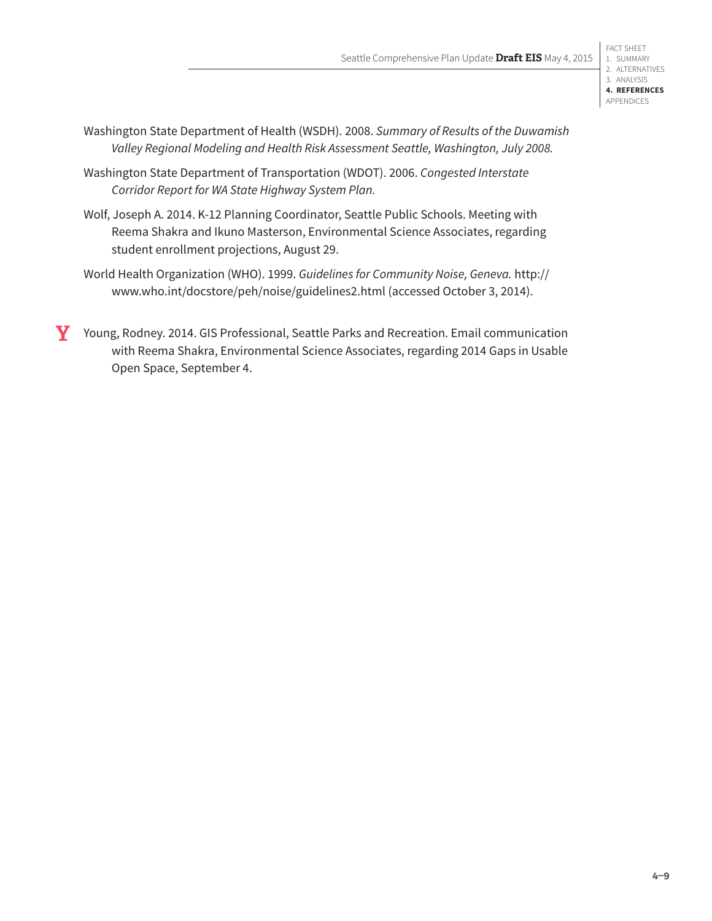- Washington State Department of Health (WSDH). 2008. *Summary of Results of the Duwamish Valley Regional Modeling and Health Risk Assessment Seattle, Washington, July 2008.*
- Washington State Department of Transportation (WDOT). 2006. *Congested Interstate Corridor Report for WA State Highway System Plan.*
- Wolf, Joseph A. 2014. K-12 Planning Coordinator, Seattle Public Schools. Meeting with Reema Shakra and Ikuno Masterson, Environmental Science Associates, regarding student enrollment projections, August 29.
- World Health Organization (WHO). 1999. *Guidelines for Community Noise, Geneva.* [http://](http://www.who.int/docstore/peh/noise/guidelines2.html) [www.who.int/docstore/peh/noise/guidelines2.html](http://www.who.int/docstore/peh/noise/guidelines2.html) (accessed October 3, 2014).
- **Y** Young, Rodney. 2014. GIS Professional, Seattle Parks and Recreation. Email communication with Reema Shakra, Environmental Science Associates, regarding 2014 Gaps in Usable Open Space, September 4.